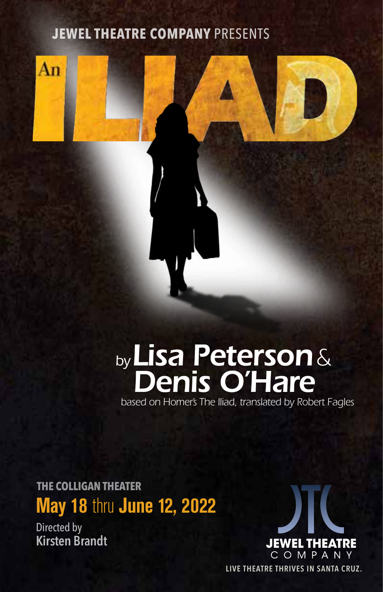#### **JEWEL THEATRE COMPANY** PRESENTS





## *by Lisa Peterson& Denis O'Hare*

 *based on Homer's The Iliad, translated by Robert Fagles*

**May 18** thru **June 12, 2022 THE COLLIGAN THEATER**

Directed by **Kirsten Brandt**



**LIVE THEATRE THRIVES IN SANTA CRUZ.**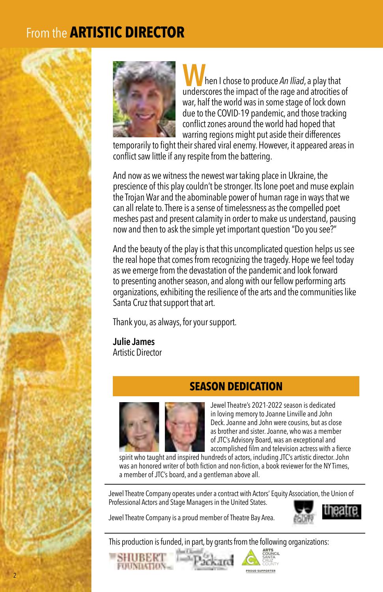### From the **ARTISTIC DIRECTOR**



**W**hen I chose to produce *An Iliad*, a play that underscores the impact of the rage and atrocities of war, half the world was in some stage of lock down due to the COVID-19 pandemic, and those tracking conflict zones around the world had hoped that warring regions might put aside their differences

temporarily to fight their shared viral enemy. However, it appeared areas in conflict saw little if any respite from the battering.

And now as we witness the newest war taking place in Ukraine, the prescience of this play couldn't be stronger. Its lone poet and muse explain the Trojan War and the abominable power of human rage in ways that we can all relate to. There is a sense of timelessness as the compelled poet meshes past and present calamity in order to make us understand, pausing now and then to ask the simple yet important question "Do you see?"

And the beauty of the play is that this uncomplicated question helps us see the real hope that comes from recognizing the tragedy. Hope we feel today as we emerge from the devastation of the pandemic and look forward to presenting another season, and along with our fellow performing arts organizations, exhibiting the resilience of the arts and the communities like Santa Cruz that support that art.

Thank you, as always, for your support.

**Julie James** Artistic Director

#### **SEASON DEDICATION**



Jewel Theatre's 2021-2022 season is dedicated in loving memory to Joanne Linville and John Deck. Joanne and John were cousins, but as close as brother and sister. Joanne, who was a member of JTC's Advisory Board, was an exceptional and accomplished film and television actress with a fierce

spirit who taught and inspired hundreds of actors, including JTC's artistic director. John was an honored writer of both fiction and non-fiction, a book reviewer for the NY Times, a member of JTC's board, and a gentleman above all.

Jewel Theatre Company operates under a contract with Actors' Equity Association, the Union of Professional Actors and Stage Managers in the United States.

Jewel Theatre Company is a proud member of Theatre Bay Area.



This production is funded, in part, by grants from the following organizations:



2



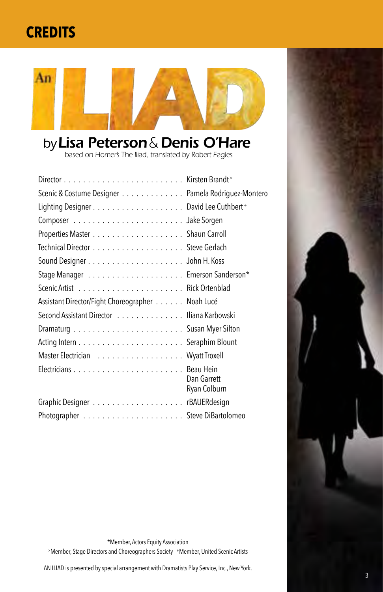## **CREDITS**



## *by Lisa Peterson & Denis O'Hare*

 *based on Homer's The Iliad, translated by Robert Fagles*

| Scenic & Costume Designer Pamela Rodriguez-Montero |                             |
|----------------------------------------------------|-----------------------------|
|                                                    |                             |
|                                                    |                             |
|                                                    |                             |
|                                                    |                             |
|                                                    |                             |
|                                                    |                             |
|                                                    |                             |
| Assistant Director/Fight Choreographer Noah Lucé   |                             |
| Second Assistant Director Iliana Karbowski         |                             |
|                                                    |                             |
|                                                    |                             |
| Master Electrician Wyatt Troxell                   |                             |
|                                                    |                             |
|                                                    | Dan Garrett<br>Ryan Colburn |
|                                                    |                             |
|                                                    |                             |



\*Member, Actors Equity Association

>Member, Stage Directors and Choreographers Society +Member, United Scenic Artists

AN ILIAD is presented by special arrangement with Dramatists Play Service, Inc., New York.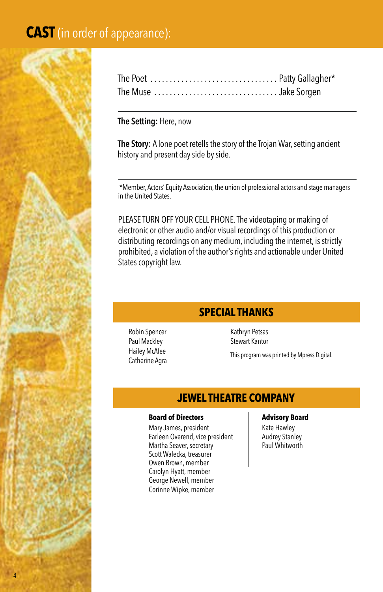#### **CAST** (in order of appearance):



#### **The Setting:** Here, now

**The Story:** A lone poet retells the story of the Trojan War, setting ancient history and present day side by side.

 \*Member, Actors' Equity Association, the union of professional actors and stage managers in the United States.

PLEASE TURN OFF YOUR CELL PHONE. The videotaping or making of electronic or other audio and/or visual recordings of this production or distributing recordings on any medium, including the internet, is strictly prohibited, a violation of the author's rights and actionable under United States copyright law.

#### **SPECIAL THANKS**

Robin Spencer Paul Mackley Hailey McAfee Catherine Agra

Kathryn Petsas Stewart Kantor

This program was printed by Mpress Digital.

#### **JEWEL THEATRE COMPANY**

#### **Board of Directors Advisory Board**

Mary James, president Earleen Overend, vice president Martha Seaver, secretary Scott Walecka, treasurer Owen Brown, member Carolyn Hyatt, member George Newell, member Corinne Wipke, member

Kate Hawley Audrey Stanley Paul Whitworth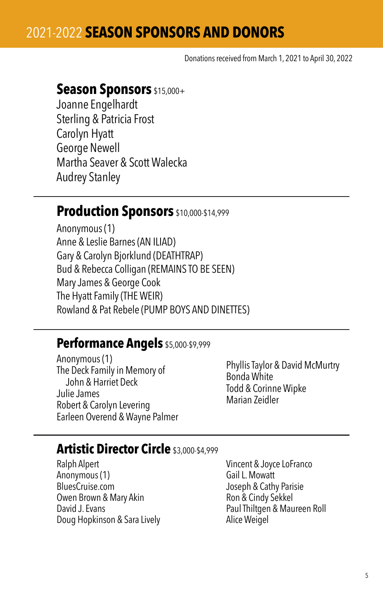Donations received from March 1, 2021 to April 30, 2022

#### **Season Sponsors** \$15,000+

Joanne Engelhardt Sterling & Patricia Frost Carolyn Hyatt George Newell Martha Seaver & Scott Walecka Audrey Stanley

#### **Production Sponsors** \$10,000-\$14,999

Anonymous (1) Anne & Leslie Barnes (AN ILIAD) Gary & Carolyn Bjorklund (DEATHTRAP) Bud & Rebecca Colligan (REMAINS TO BE SEEN) Mary James & George Cook The Hyatt Family (THE WEIR) Rowland & Pat Rebele (PUMP BOYS AND DINETTES)

#### **Performance Angels** \$5,000-\$9,999

Anonymous (1) The Deck Family in Memory of John & Harriet Deck Julie James Robert & Carolyn Levering Earleen Overend & Wayne Palmer

Phyllis Taylor & David McMurtry Bonda White Todd & Corinne Wipke Marian Zeidler

#### **Artistic Director Circle** \$3,000-\$4,999

Ralph Alpert Anonymous (1) BluesCruise.com Owen Brown & Mary Akin David J. Evans Doug Hopkinson & Sara Lively

Vincent & Joyce LoFranco Gail L. Mowatt Joseph & Cathy Parisie Ron & Cindy Sekkel Paul Thiltgen & Maureen Roll Alice Weigel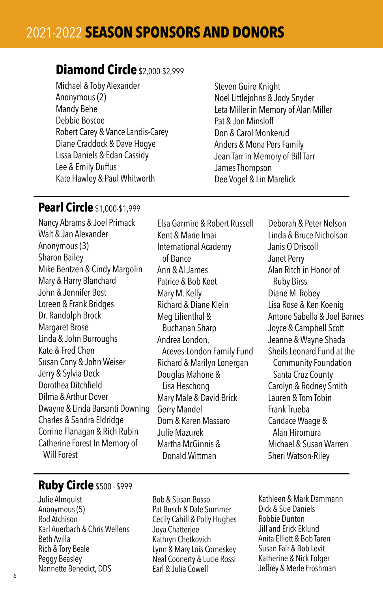#### **Diamond Circle**\$2,000-\$2,999

Michael & Toby Alexander Anonymous (2) Mandy Behe Debbie Boscoe Robert Carey & Vance Landis-Carey Diane Craddock & Dave Hogye Lissa Daniels & Edan Cassidy Lee & Emily Duffus Kate Hawley & Paul Whitworth

Steven Guire Knight Noel Littlejohns & Jody Snyder Leta Miller in Memory of Alan Miller Pat & Jon Minsloff Don & Carol Monkerud Anders & Mona Pers Family Jean Tarr in Memory of Bill Tarr James Thompson Dee Vogel & Lin Marelick

#### **Pearl Circle** \$1,000-\$1,999

Nancy Abrams & Joel Primack Walt & Jan Alexander Anonymous (3) Sharon Bailey Mike Bentzen & Cindy Margolin Mary & Harry Blanchard John & Jennifer Bost Loreen & Frank Bridges Dr. Randolph Brock Margaret Brose Linda & John Burroughs Kate & Fred Chen Susan Cony & John Weiser Jerry & Sylvia Deck Dorothea Ditchfield Dilma & Arthur Dover Dwayne & Linda Barsanti Downing Charles & Sandra Eldridge Corrine Flanagan & Rich Rubin Catherine Forest In Memory of Will Forest

Elsa Garmire & Robert Russell Kent & Marie Imai International Academy of Dance Ann & Al James Patrice & Bob Keet Mary M. Kelly Richard & Diane Klein Meg Lilienthal & Buchanan Sharp Andrea London, Aceves-London Family Fund Richard & Marilyn Lonergan Douglas Mahone & Lisa Heschong Mary Male & David Brick Gerry Mandel Dom & Karen Massaro Julie Mazurek Martha McGinnis & Donald Wittman

Deborah & Peter Nelson Linda & Bruce Nicholson Janis O'Driscoll Janet Perry Alan Ritch in Honor of Ruby Birss Diane M. Robey Lisa Rose & Ken Koenig Antone Sabella & Joel Barnes Joyce & Campbell Scott Jeanne & Wayne Shada Sheils Leonard Fund at the Community Foundation Santa Cruz County Carolyn & Rodney Smith Lauren & Tom Tobin Frank Trueba Candace Waage & Alan Hiromura Michael & Susan Warren Sheri Watson-Riley

#### **Ruby Circle** \$500 - \$999

Julie Almquist Anonymous (5) Rod Atchison Karl Auerbach & Chris Wellens Beth Avilla Rich & Tory Beale Peggy Beasley Nannette Benedict, DDS

Bob & Susan Bosso Pat Busch & Dale Summer Cecily Cahill & Polly Hughes Joya Chatterjee Kathryn Chetkovich Lynn & Mary Lois Comeskey Neal Coonerty & Lucie Rossi Earl & Julia Cowell

Kathleen & Mark Dammann Dick & Sue Daniels Robbie Dunton Jill and Erick Eklund Anita Elliott & Bob Taren Susan Fair & Bob Levit Katherine & Nick Folger Jeffrey & Merle Froshman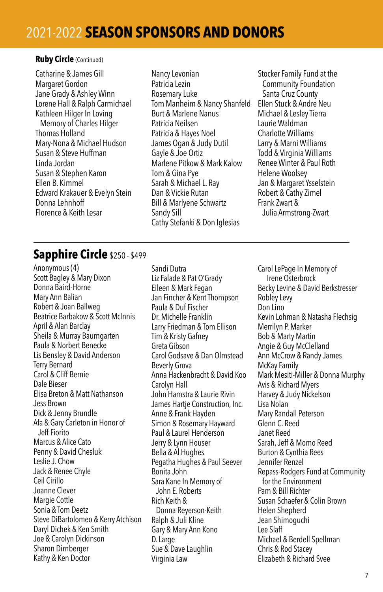#### **Ruby Circle** (Continued)

Catharine & James Gill Margaret Gordon Jane Grady & Ashley Winn Lorene Hall & Ralph Carmichael Kathleen Hilger In Loving Memory of Charles Hilger Thomas Holland Mary-Nona & Michael Hudson Susan & Steve Huffman Linda Jordan Susan & Stephen Karon Ellen B. Kimmel Edward Krakauer & Evelyn Stein Donna Lehnhoff Florence & Keith Lesar

Nancy Levonian Patricia Lezin Rosemary Luke Tom Manheim & Nancy Shanfeld Burt & Marlene Nanus Patricia Neilsen Patricia & Hayes Noel James Ogan & Judy Dutil Gayle & Joe Ortiz Marlene Pitkow & Mark Kalow Tom & Gina Pye Sarah & Michael L. Ray Dan & Vickie Rutan Bill & Marlyene Schwartz Sandy Sill Cathy Stefanki & Don Iglesias

Stocker Family Fund at the Community Foundation Santa Cruz County Ellen Stuck & Andre Neu Michael & Lesley Tierra Laurie Waldman Charlotte Williams Larry & Marni Williams Todd & Virginia Williams Renee Winter & Paul Roth Helene Woolsey Jan & Margaret Ysselstein Robert & Cathy Zimel Frank Zwart & Julia Armstrong-Zwart

#### **Sapphire Circle** \$250 - \$499

Anonymous (4) Scott Bagley & Mary Dixon Donna Baird-Horne Mary Ann Balian Robert & Joan Ballweg Beatrice Barbakow & Scott McInnis April & Alan Barclay Sheila & Murray Baumgarten Paula & Norbert Benecke Lis Bensley & David Anderson Terry Bernard Carol & Cliff Bernie Dale Bieser Elisa Breton & Matt Nathanson Jess Brown Dick & Jenny Brundle Afa & Gary Carleton in Honor of Jeff Fiorito Marcus & Alice Cato Penny & David Chesluk Leslie J. Chow Jack & Renee Chyle Ceil Cirillo Joanne Clever Margie Cottle Sonia & Tom Deetz Steve DiBartolomeo & Kerry Atchison Daryl Dichek & Ken Smith Joe & Carolyn Dickinson Sharon Dirnberger Kathy & Ken Doctor

Sandi Dutra Liz Falade & Pat O'Grady Eileen & Mark Fegan Jan Fincher & Kent Thompson Paula & Duf Fischer Dr. Michelle Franklin Larry Friedman & Tom Ellison Tim & Kristy Gafney Greta Gibson Carol Godsave & Dan Olmstead Beverly Grova Anna Hackenbracht & David Koo Carolyn Hall John Hamstra & Laurie Rivin James Hartie Construction, Inc. Anne & Frank Hayden Simon & Rosemary Hayward Paul & Laurel Henderson Jerry & Lynn Houser Bella & Al Hughes Pegatha Hughes & Paul Seever Bonita John Sara Kane In Memory of John E. Roberts Rich Keith & Donna Reyerson-Keith Ralph & Juli Kline Gary & Mary Ann Kono D. Large Sue & Dave Laughlin Virginia Law

Carol LePage In Memory of Irene Osterbrock Becky Levine & David Berkstresser Robley Levy Don Lino Kevin Lohman & Natasha Flechsig Merrilyn P. Marker Bob & Marty Martin Angie & Guy McClelland Ann McCrow & Randy James McKay Family Mark Mesiti-Miller & Donna Murphy Avis & Richard Myers Harvey & Judy Nickelson Lisa Nolan Mary Randall Peterson Glenn C. Reed Janet Reed Sarah, Jeff & Momo Reed Burton & Cynthia Rees Jennifer Renzel Repass-Rodgers Fund at Community for the Environment Pam & Bill Richter Susan Schaefer & Colin Brown Helen Shepherd Jean Shimoguchi Lee Slaff Michael & Berdell Spellman Chris & Rod Stacey Elizabeth & Richard Svee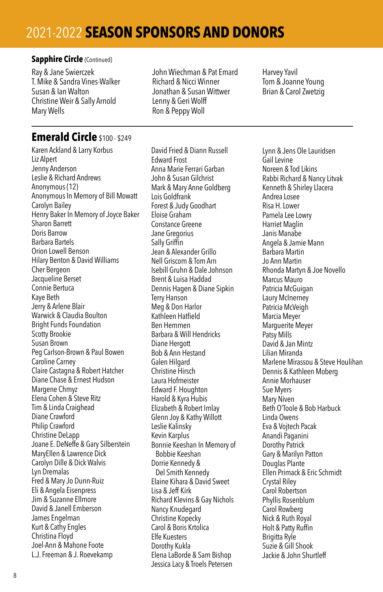#### **Sapphire Circle (Continued)**

Ray & Jane Swierczek T. Mike & Sandra Vines-Walker Susan & Ian Walton Christine Weir & Sally Arnold Mary Wells

John Wiechman & Pat Emard Richard & Nicci Winner Jonathan & Susan Wittwer Lenny & Geri Wolff Ron & Peppy Woll

Harvey Yavil Tom & Joanne Young Brian & Carol Zwetzig

#### **Emerald Circle** \$100 - \$249

Karen Ackland & Larry Korbus Liz Alpert Jenny Anderson Leslie & Richard Andrews Anonymous (12) Anonymous In Memory of Bill Mowatt Carolyn Bailey Henry Baker In Memory of Joyce Baker Sharon Barrett Doris Barrow Barbara Bartels Orion Lowell Benson Hilary Benton & David Williams Cher Bergeon Jacqueline Berset Connie Bertuca Kaye Beth Jerry & Arlene Blair Warwick & Claudia Boulton Bright Funds Foundation Scotty Brookie Susan Brown Peg Carlson-Brown & Paul Bowen Caroline Carney Claire Castagna & Robert Hatcher Diane Chase & Ernest Hudson Margene Chmyz Elena Cohen & Steve Ritz Tim & Linda Craighead Diane Crawford Philip Crawford Christine DeLapp Joane E. DeNeffe & Gary Silberstein MaryEllen & Lawrence Dick Carolyn Dille & Dick Walvis Lyn Dremalas Fred & Mary Jo Dunn-Ruiz Eli & Angela Eisenpress Jim & Suzanne Ellmore David & Janell Emberson James Engelman Kurt & Cathy Engles Christina Floyd Joel-Ann & Mahone Foote L.J. Freeman & J. Roevekamp

David Fried & Diann Russell Edward Frost Anna Marie Ferrari Garban John & Susan Gilchrist Mark & Mary Anne Goldberg Lois Goldfrank Forest & Judy Goodhart Eloise Graham Constance Greene Jane Gregorius Sally Griffin Jean & Alexander Grillo Nell Griscom & Tom Arn Isebill Gruhn & Dale Johnson Brent & Luisa Haddad Dennis Hagen & Diane Sipkin Terry Hanson Meg & Don Harlor Kathleen Hatfield Ben Hemmen Barbara & Will Hendricks Diane Hergott Bob & Ann Hestand Galen Hilgard Christine Hirsch Laura Hofmeister Edward F. Houghton Harold & Kyra Hubis Elizabeth & Robert Imlay Glenn Joy & Kathy Willott Leslie Kalinsky Kevin Karplus Bonnie Keeshan In Memory of Bobbie Keeshan Dorrie Kennedy & Del Smith Kennedy Elaine Kihara & David Sweet Lisa & Jeff Kirk Richard Klevins & Gay Nichols Nancy Knudegard Christine Kopecky Carol & Boris Krtolica Elfe Kuesters Dorothy Kukla Elena LaBorde & Sam Bishop Jessica Lacy & Troels Petersen

Lynn & Jens Ole Lauridsen Gail Levine Noreen & Tod Likins Rabbi Richard & Nancy Litvak Kenneth & Shirley Llacera Andrea Losee Risa H. Lower Pamela Lee Lowry Harriet Maglin Janis Manabe Angela & Jamie Mann Barbara Martin Jo Ann Martin Rhonda Martyn & Joe Novello Marcus Mauro Patricia McGuigan Laury McInerney Patricia McVeigh Marcia Meyer Marguerite Meyer Patsy Mills David & Jan Mintz Lilian Miranda Marlene Mirassou & Steve Houlihan Dennis & Kathleen Moberg Annie Morhauser Sue Myers Mary Niven Beth O'Toole & Bob Harbuck Linda Owens Eva & Vojtech Pacak Anandi Paganini Dorothy Patrick Gary & Marilyn Patton Douglas Plante Ellen Primack & Eric Schmidt Crystal Riley Carol Robertson Phyllis Rosenblum Carol Rowberg Nick & Ruth Royal Holt & Patty Ruffin Brigitta Ryle Suzie & Gill Shook Jackie & John Shurtleff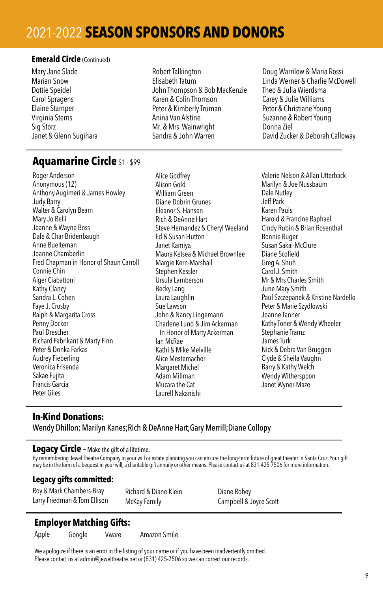#### **Emerald Circle** (Continued)

Mary Jane Slade Marian Snow Dottie Speidel Carol Spragens Elaine Stamper Virginia Sterns Sig Storz Janet & Glenn Sugihara Robert Talkington Elisabeth Tatum John Thompson & Bob MacKenzie Karen & Colin Thomson Peter & Kimberly Truman Anina Van Alstine Mr. & Mrs. Wainwright Sandra & John Warren

Doug Warrilow & Maria Rossi Linda Werner & Charlie McDowell Theo & Julia Wierdsma Carey & Julie Williams Peter & Christiane Young Suzanne & Robert Young Donna Ziel David Zucker & Deborah Calloway

#### **Aquamarine Circle** \$1 - \$99

Roger Anderson Anonymous (12) Anthony Augimeri & James Howley Judy Barry Walter & Carolyn Beam Mary Jo Belli Jeanne & Wayne Boss Dale & Char Bridenbaugh Anne Buelteman Joanne Chamberlin Fred Chapman in Honor of Shaun Carroll Connie Chin Alger Ciabattoni Kathy Clancy Sandra L. Cohen Faye J. Crosby Ralph & Margarita Cross Penny Docker Paul Drescher Richard Fabrikant & Marty Finn Peter & Donka Farkas Audrey Fieberling Veronica Frisenda Sakae Fujita Francis Garcia Peter Giles

Alice Godfrey Alison Gold William Green Diane Dobrin Grunes Eleanor S. Hansen Rich & DeAnne Hart Steve Hernandez & Cheryl Weeland Ed & Susan Hutton Janet Kamiya Maura Kelsea & Michael Brownlee Margie Kern-Marshall Stephen Kessler Ursula Lamberson Becky Lang Laura Laughlin Sue Lawson John & Nancy Lingemann Charlene Lund & Jim Ackerman In Honor of Marty Ackerman Ian McRae Kathi & Mike Melville Alice Mestemacher Margaret Michel Adam Millman Mucara the Cat Laurell Nakanishi

Valerie Nelson & Allan Utterback Marilyn & Joe Nussbaum Dale Nutley Jeff Park Karen Pauls Harold & Francine Raphael Cindy Rubin & Brian Rosenthal Bonnie Ruger Susan Sakai-McClure Diane Scofield Greg A. Shuh Carol J. Smith Mr & Mrs Charles Smith June Mary Smith Paul Szczepanek & Kristine Nardello Peter & Marie Szydlowski Joanne Tanner Kathy Toner & Wendy Wheeler Stephanie Tramz James Turk Nick & Debra Van Bruggen Clyde & Sheila Vaughn Barry & Kathy Welch Wendy Witherspoon Janet Wyner-Maze

#### **In-Kind Donations:**

Wendy Dhillon; Marilyn Kanes;Rich & DeAnne Hart;Gary Merrill;Diane Collopy

#### **Legacy Circle** – Make the gift of a lifetime.

By remembering Jewel Theatre Company in your will or estate planning you can ensure the long-term future of great theater in Santa Cruz. Your gift<br>may be in the form of a bequest in your will, a charitable gift annuity or

#### **Legacy gifts committed:**

Roy & Mark Chambers-Bray Larry Friedman & Tom Ellison Richard & Diane Klein McKay Family

Diane Robey Campbell & Joyce Scott

#### **Employer Matching Gifts:**

Apple

Google Vware Amazon Smile

We apologize if there is an error in the listing of your name or if you have been inadvertently omitted. Please contact us at admin@jeweltheatre.net or (831) 425-7506 so we can correct our records.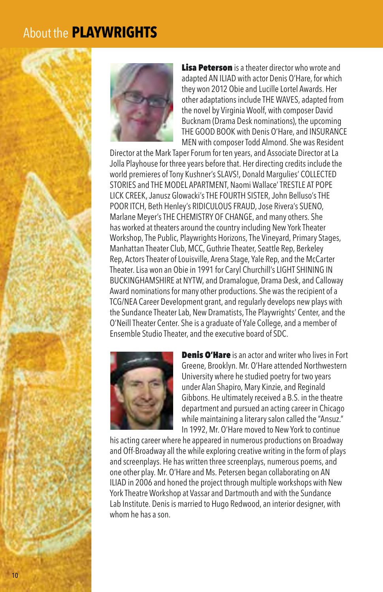#### About the **PLAYWRIGHTS**



Lisa Peterson is a theater director who wrote and adapted AN ILIAD with actor Denis O'Hare, for which they won 2012 Obie and Lucille Lortel Awards. Her other adaptations include THE WAVES, adapted from the novel by Virginia Woolf, with composer David Bucknam (Drama Desk nominations), the upcoming THE GOOD BOOK with Denis O'Hare, and INSURANCE MEN with composer Todd Almond. She was Resident

Director at the Mark Taper Forum for ten years, and Associate Director at La Jolla Playhouse for three years before that. Her directing credits include the world premieres of Tony Kushner's SLAVS!, Donald Margulies' COLLECTED STORIES and THE MODEL APARTMENT, Naomi Wallace' TRESTLE AT POPE LICK CREEK, Janusz Glowacki's THE FOURTH SISTER, John Belluso's THE POOR ITCH, Beth Henley's RIDICULOUS FRAUD, Jose Rivera's SUENO, Marlane Meyer's THE CHEMISTRY OF CHANGE, and many others. She has worked at theaters around the country including New York Theater Workshop, The Public, Playwrights Horizons, The Vineyard, Primary Stages, Manhattan Theater Club, MCC, Guthrie Theater, Seattle Rep, Berkeley Rep, Actors Theater of Louisville, Arena Stage, Yale Rep, and the McCarter Theater. Lisa won an Obie in 1991 for Caryl Churchill's LIGHT SHINING IN BUCKINGHAMSHIRE at NYTW, and Dramalogue, Drama Desk, and Calloway Award nominations for many other productions. She was the recipient of a TCG/NEA Career Development grant, and regularly develops new plays with the Sundance Theater Lab, New Dramatists, The Playwrights' Center, and the O'Neill Theater Center. She is a graduate of Yale College, and a member of Ensemble Studio Theater, and the executive board of SDC.



**Denis O'Hare** is an actor and writer who lives in Fort Greene, Brooklyn. Mr. O'Hare attended Northwestern University where he studied poetry for two years under Alan Shapiro, Mary Kinzie, and Reginald Gibbons. He ultimately received a B.S. in the theatre department and pursued an acting career in Chicago while maintaining a literary salon called the "Ansuz." In 1992, Mr. O'Hare moved to New York to continue

his acting career where he appeared in numerous productions on Broadway and Off-Broadway all the while exploring creative writing in the form of plays and screenplays. He has written three screenplays, numerous poems, and one other play. Mr. O'Hare and Ms. Petersen began collaborating on AN ILIAD in 2006 and honed the project through multiple workshops with New York Theatre Workshop at Vassar and Dartmouth and with the Sundance Lab Institute. Denis is married to Hugo Redwood, an interior designer, with whom he has a son.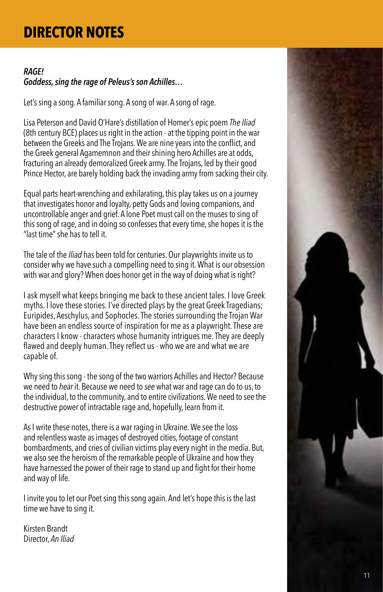## **DIRECTOR NOTES**

#### *RAGE! Goddess, sing the rage of Peleus's son Achilles…*

Let's sing a song. A familiar song. A song of war. A song of rage.

Lisa Peterson and David O'Hare's distillation of Homer's epic poem *The Iliad* (8th century BCE) places us right in the action - at the tipping point in the war between the Greeks and The Trojans. We are nine years into the conflict, and the Greek general Agamemnon and their shining hero Achilles are at odds, fracturing an already demoralized Greek army. The Trojans, led by their good Prince Hector, are barely holding back the invading army from sacking their city.

Equal parts heart-wrenching and exhilarating, this play takes us on a journey that investigates honor and loyalty, petty Gods and loving companions, and uncontrollable anger and grief. A lone Poet must call on the muses to sing of this song of rage, and in doing so confesses that every time, she hopes it is the "last time" she has to tell it.

The tale of the *Iliad* has been told for centuries. Our playwrights invite us to consider why we have such a compelling need to sing it. What is our obsession with war and glory? When does honor get in the way of doing what is right?

I ask myself what keeps bringing me back to these ancient tales. I love Greek myths. I love these stories. I've directed plays by the great Greek Tragedians; Euripides, Aeschylus, and Sophocles. The stories surrounding the Trojan War have been an endless source of inspiration for me as a playwright. These are characters I know - characters whose humanity intrigues me. They are deeply flawed and deeply human. They reflect us - who we are and what we are capable of.

Why sing this song - the song of the two warriors Achilles and Hector? Because we need to *hear* it. Because we need to *see* what war and rage can do to us, to the individual, to the community, and to entire civilizations. We need to see the destructive power of intractable rage and, hopefully, learn from it.

As I write these notes, there is a war raging in Ukraine. We see the loss and relentless waste as images of destroyed cities, footage of constant bombardments, and cries of civilian victims play every night in the media. But, we also see the heroism of the remarkable people of Ukraine and how they have harnessed the power of their rage to stand up and fight for their home and way of life.

I invite you to let our Poet sing this song again. And let's hope this is the last time we have to sing it.

Kirsten Brandt Director, *An Iliad*

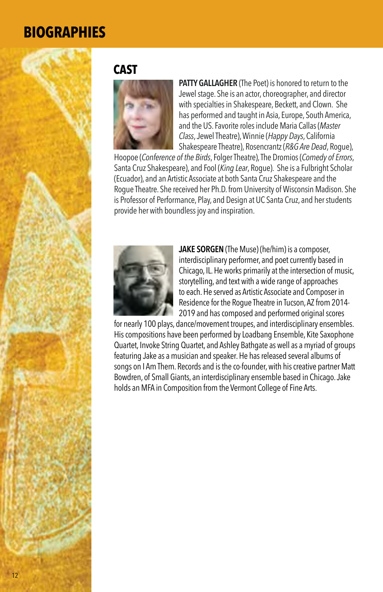#### **CAST**



**PATTY GALLAGHER** (The Poet) is honored to return to the Jewel stage. She is an actor, choreographer, and director with specialties in Shakespeare, Beckett, and Clown. She has performed and taught in Asia, Europe, South America, and the US. Favorite roles include Maria Callas (*Master Class*, Jewel Theatre), Winnie (*Happy Days*, California Shakespeare Theatre), Rosencrantz (*R&G Are Dead*, Rogue),

Hoopoe (*Conference of the Birds*, Folger Theatre), The Dromios (*Comedy of Errors*, Santa Cruz Shakespeare), and Fool (*King Lear*, Rogue). She is a Fulbright Scholar (Ecuador), and an Artistic Associate at both Santa Cruz Shakespeare and the Rogue Theatre. She received her Ph.D. from University of Wisconsin Madison. She is Professor of Performance, Play, and Design at UC Santa Cruz, and her students provide her with boundless joy and inspiration.



**JAKE SORGEN** (The Muse) (he/him) is a composer, interdisciplinary performer, and poet currently based in Chicago, IL. He works primarily at the intersection of music, storytelling, and text with a wide range of approaches to each. He served as Artistic Associate and Composer in Residence for the Rogue Theatre in Tucson, AZ from 2014- 2019 and has composed and performed original scores

for nearly 100 plays, dance/movement troupes, and interdisciplinary ensembles. His compositions have been performed by Loadbang Ensemble, Kite Saxophone Quartet, Invoke String Quartet, and Ashley Bathgate as well as a myriad of groups featuring Jake as a musician and speaker. He has released several albums of songs on I Am Them. Records and is the co-founder, with his creative partner Matt Bowdren, of Small Giants, an interdisciplinary ensemble based in Chicago. Jake holds an MFA in Composition from the Vermont College of Fine Arts.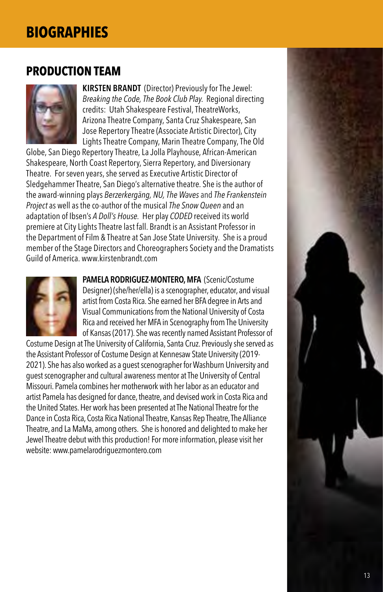#### **PRODUCTION TEAM**



**KIRSTEN BRANDT** (Director) Previously for The Jewel: *Breaking the Code, The Book Club Play*. Regional directing credits: Utah Shakespeare Festival, TheatreWorks, Arizona Theatre Company, Santa Cruz Shakespeare, San Jose Repertory Theatre (Associate Artistic Director), City Lights Theatre Company, Marin Theatre Company, The Old

Globe, San Diego Repertory Theatre, La Jolla Playhouse, African-American Shakespeare, North Coast Repertory, Sierra Repertory, and Diversionary Theatre. For seven years, she served as Executive Artistic Director of Sledgehammer Theatre, San Diego's alternative theatre. She is the author of the award-winning plays *Berzerkergäng, NU, The Waves* and *The Frankenstein Project* as well as the co-author of the musical *The Snow Queen* and an adaptation of Ibsen's *A Doll's House.* Her play *CODED* received its world premiere at City Lights Theatre last fall. Brandt is an Assistant Professor in the Department of Film & Theatre at San Jose State University. She is a proud member of the Stage Directors and Choreographers Society and the Dramatists Guild of America. www.kirstenbrandt.com



**PAMELA RODRIGUEZ-MONTERO, MFA** (Scenic/Costume Designer) (she/her/ella) is a scenographer, educator, and visual artist from Costa Rica. She earned her BFA degree in Arts and Visual Communications from the National University of Costa Rica and received her MFA in Scenography from The University of Kansas (2017). She was recently named Assistant Professor of

Costume Design at The University of California, Santa Cruz. Previously she served as the Assistant Professor of Costume Design at Kennesaw State University (2019- 2021). She has also worked as a guest scenographer for Washburn University and guest scenographer and cultural awareness mentor at The University of Central Missouri. Pamela combines her motherwork with her labor as an educator and artist Pamela has designed for dance, theatre, and devised work in Costa Rica and the United States. Her work has been presented at The National Theatre for the Dance in Costa Rica, Costa Rica National Theatre, Kansas Rep Theatre, The Alliance Theatre, and La MaMa, among others. She is honored and delighted to make her Jewel Theatre debut with this production! For more information, please visit her website: www.pamelarodriguezmontero.com

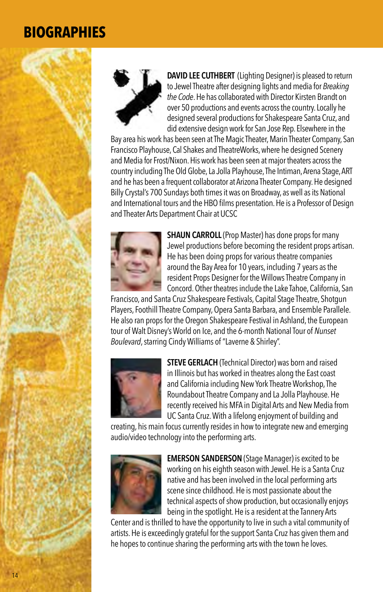

**DAVID LEE CUTHBERT** (Lighting Designer) is pleased to return to Jewel Theatre after designing lights and media for *Breaking the Code*. He has collaborated with Director Kirsten Brandt on over 50 productions and events across the country. Locally he designed several productions for Shakespeare Santa Cruz, and did extensive design work for San Jose Rep. Elsewhere in the

Bay area his work has been seen at The Magic Theater, Marin Theater Company, San Francisco Playhouse, Cal Shakes and TheatreWorks, where he designed Scenery and Media for Frost/Nixon. His work has been seen at major theaters across the country including The Old Globe, La Jolla Playhouse, The Intiman, Arena Stage, ART and he has been a frequent collaborator at Arizona Theater Company. He designed Billy Crystal's 700 Sundays both times it was on Broadway, as well as its National and International tours and the HBO films presentation. He is a Professor of Design and Theater Arts Department Chair at UCSC



**SHAUN CARROLL** (Prop Master) has done props for many Jewel productions before becoming the resident props artisan. He has been doing props for various theatre companies around the Bay Area for 10 years, including 7 years as the resident Props Designer for the Willows Theatre Company in Concord. Other theatres include the Lake Tahoe, California, San

Francisco, and Santa Cruz Shakespeare Festivals, Capital Stage Theatre, Shotgun Players, Foothill Theatre Company, Opera Santa Barbara, and Ensemble Parallele. He also ran props for the Oregon Shakespeare Festival in Ashland, the European tour of Walt Disney's World on Ice, and the 6-month National Tour of *Nunset Boulevard*, starring Cindy Williams of "Laverne & Shirley".



**STEVE GERLACH** (Technical Director) was born and raised in Illinois but has worked in theatres along the East coast and California including New York Theatre Workshop, The Roundabout Theatre Company and La Jolla Playhouse. He recently received his MFA in Digital Arts and New Media from UC Santa Cruz. With a lifelong enjoyment of building and

creating, his main focus currently resides in how to integrate new and emerging audio/video technology into the performing arts.



**EMERSON SANDERSON** (Stage Manager) is excited to be working on his eighth season with Jewel. He is a Santa Cruz native and has been involved in the local performing arts scene since childhood. He is most passionate about the technical aspects of show production, but occasionally enjoys being in the spotlight. He is a resident at the Tannery Arts

Center and is thrilled to have the opportunity to live in such a vital community of artists. He is exceedingly grateful for the support Santa Cruz has given them and he hopes to continue sharing the performing arts with the town he loves.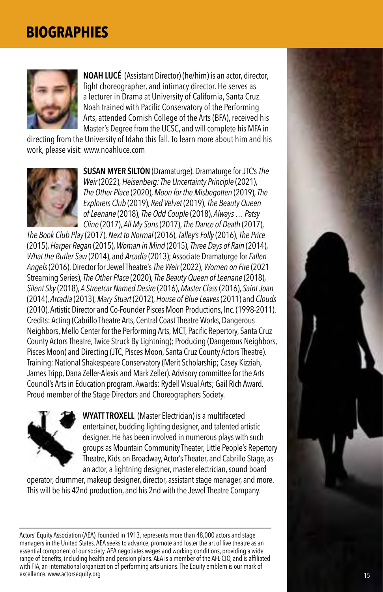

**NOAH LUCÉ** (Assistant Director) (he/him) is an actor, director, fight choreographer, and intimacy director. He serves as a lecturer in Drama at University of California, Santa Cruz. Noah trained with Pacific Conservatory of the Performing Arts, attended Cornish College of the Arts (BFA), received his Master's Degree from the UCSC, and will complete his MFA in

directing from the University of Idaho this fall. To learn more about him and his work, please visit: www.noahluce.com



**SUSAN MYER SILTON** (Dramaturge). Dramaturge for JTC's *The Weir* (2022), *Heisenberg: The Uncertainty Principle* (2021), *The Other Place* (2020), *Moon for the Misbegotten* (2019), *The Explorers Club* (2019), *Red Velvet* (2019), *The Beauty Queen of Leenane* (2018), *The Odd Couple* (2018), *Always … Patsy Cline* (2017), *All My Sons* (2017), *The Dance of Death* (2017),

*The Book Club Play* (2017), *Next to Normal* (2016), *Talley's Folly* (2016), *The Price* (2015), *Harper Regan* (2015), *Woman in Mind* (2015), *Three Days of Rain* (2014), *What the Butler Saw* (2014), and *Arcadia* (2013); Associate Dramaturge for *Fallen Angels* (2016). Director for Jewel Theatre's *The Weir* (2022), *Women on Fire* (2021 Streaming Series), *The Other Place* (2020), *The Beauty Queen of Leenane* (2018), *Silent Sky* (2018), *A Streetcar Named Desire* (2016), *Master Class* (2016), *Saint Joan* (2014), *Arcadia* (2013), *Mary Stuart* (2012), *House of Blue Leaves* (2011) and *Clouds* (2010). Artistic Director and Co-Founder Pisces Moon Productions, Inc. (1998-2011). Credits: Acting (Cabrillo Theatre Arts, Central Coast Theatre Works, Dangerous Neighbors, Mello Center for the Performing Arts, MCT, Pacific Repertory, Santa Cruz County Actors Theatre, Twice Struck By Lightning); Producing (Dangerous Neighbors, Pisces Moon) and Directing (JTC, Pisces Moon, Santa Cruz County Actors Theatre). Training: National Shakespeare Conservatory (Merit Scholarship; Casey Kizziah, James Tripp, Dana Zeller-Alexis and Mark Zeller). Advisory committee for the Arts Council's Arts in Education program. Awards: Rydell Visual Arts; Gail Rich Award. Proud member of the Stage Directors and Choreographers Society.



**WYATT TROXELL** (Master Electrician) is a multifaceted entertainer, budding lighting designer, and talented artistic designer. He has been involved in numerous plays with such groups as Mountain Community Theater, Little People's Repertory Theatre, Kids on Broadway, Actor's Theater, and Cabrillo Stage, as an actor, a lightning designer, master electrician, sound board

operator, drummer, makeup designer, director, assistant stage manager, and more. This will be his 42nd production, and his 2nd with the Jewel Theatre Company.

Actors' Equity Association (AEA), founded in 1913, represents more than 48,000 actors and stage managers in the United States. AEA seeks to advance, promote and foster the art of live theatre as an essential component of our society. AEA negotiates wages and working conditions, providing a wide range of benefits, including health and pension plans. AEA is a member of the AFL-CIO, and is affiliated with FIA, an international organization of performing arts unions. The Equity emblem is our mark of excellence. www.actorsequity.org

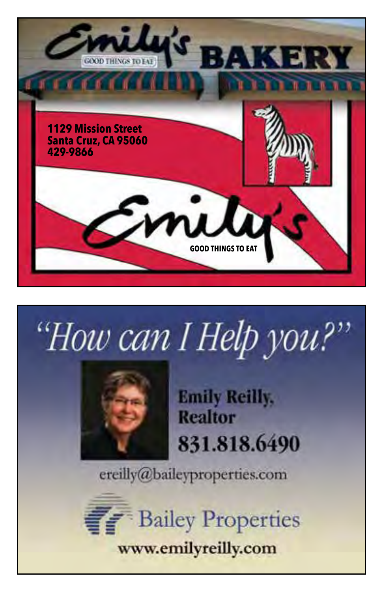

# "How can I Help you?



**Emily Reilly, Realtor** 831.818.6490

ereilly@baileyproperties.com

**Bailey Properties** www.emilyreilly.com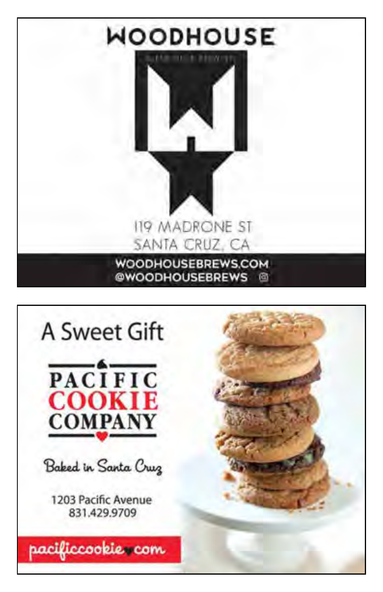

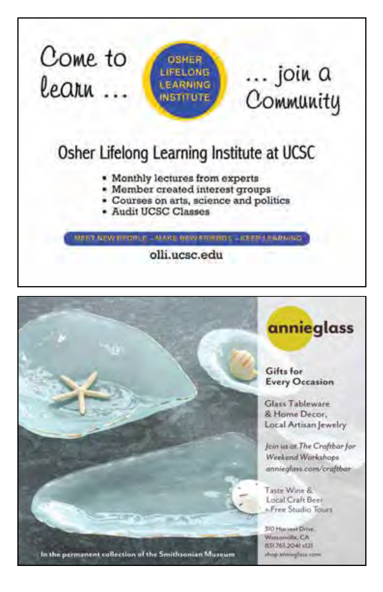

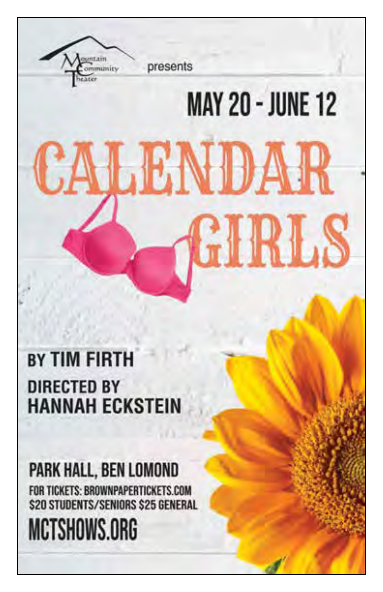**BY TIM FIRTH DIRECTED BY HANNAH ECKSTEIN** 

ommunity

presents

**MAY 20 - JUNE 12** 

LENDAR

PARK HALL, BEN LOMOND FOR TICKETS: BROWNPAPERTICKETS.COM **\$20 STUDENTS/SENIORS \$25 GENERAL** 

# MCTSHOWS.ORG